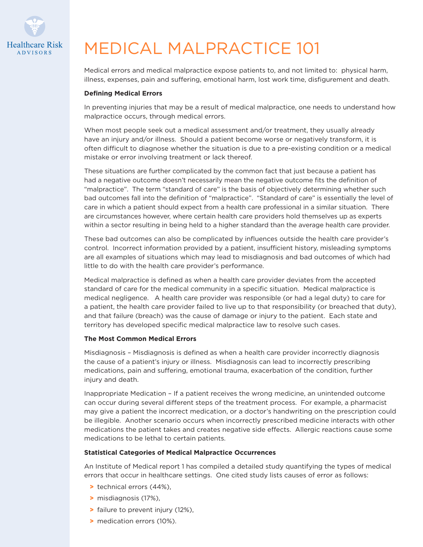

## MEDICAL MALPRACTICE 101

Medical errors and medical malpractice expose patients to, and not limited to: physical harm, illness, expenses, pain and suffering, emotional harm, lost work time, disfigurement and death.

## **Defining Medical Errors**

In preventing injuries that may be a result of medical malpractice, one needs to understand how malpractice occurs, through medical errors.

When most people seek out a medical assessment and/or treatment, they usually already have an injury and/or illness. Should a patient become worse or negatively transform, it is often difficult to diagnose whether the situation is due to a pre-existing condition or a medical mistake or error involving treatment or lack thereof.

These situations are further complicated by the common fact that just because a patient has had a negative outcome doesn't necessarily mean the negative outcome fits the definition of "malpractice". The term "standard of care" is the basis of objectively determining whether such bad outcomes fall into the definition of "malpractice". "Standard of care" is essentially the level of care in which a patient should expect from a health care professional in a similar situation. There are circumstances however, where certain health care providers hold themselves up as experts within a sector resulting in being held to a higher standard than the average health care provider.

These bad outcomes can also be complicated by influences outside the health care provider's control. Incorrect information provided by a patient, insufficient history, misleading symptoms are all examples of situations which may lead to misdiagnosis and bad outcomes of which had little to do with the health care provider's performance.

Medical malpractice is defined as when a health care provider deviates from the accepted standard of care for the medical community in a specific situation. Medical malpractice is medical negligence. A health care provider was responsible (or had a legal duty) to care for a patient, the health care provider failed to live up to that responsibility (or breached that duty), and that failure (breach) was the cause of damage or injury to the patient. Each state and territory has developed specific medical malpractice law to resolve such cases.

## **The Most Common Medical Errors**

Misdiagnosis – Misdiagnosis is defined as when a health care provider incorrectly diagnosis the cause of a patient's injury or illness. Misdiagnosis can lead to incorrectly prescribing medications, pain and suffering, emotional trauma, exacerbation of the condition, further injury and death.

Inappropriate Medication – If a patient receives the wrong medicine, an unintended outcome can occur during several different steps of the treatment process. For example, a pharmacist may give a patient the incorrect medication, or a doctor's handwriting on the prescription could be illegible. Another scenario occurs when incorrectly prescribed medicine interacts with other medications the patient takes and creates negative side effects. Allergic reactions cause some medications to be lethal to certain patients.

## **Statistical Categories of Medical Malpractice Occurrences**

An Institute of Medical report 1 has compiled a detailed study quantifying the types of medical errors that occur in healthcare settings. One cited study lists causes of error as follows:

- > technical errors (44%),
- > misdiagnosis (17%),
- > failure to prevent injury (12%),
- > medication errors (10%).